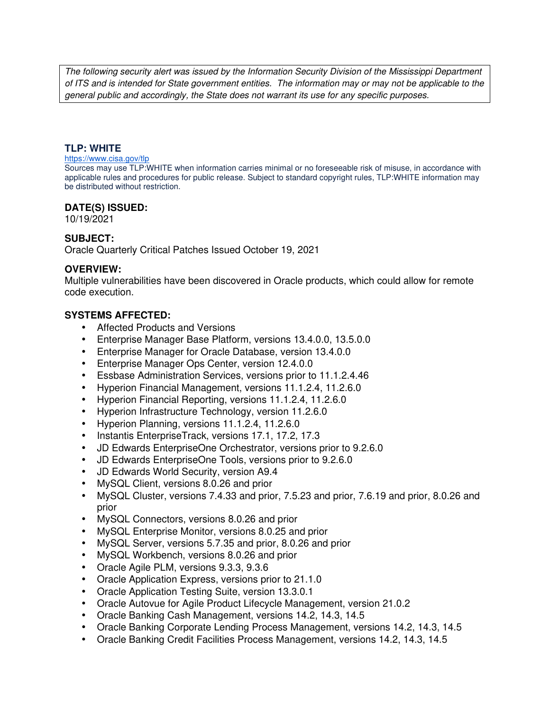The following security alert was issued by the Information Security Division of the Mississippi Department of ITS and is intended for State government entities. The information may or may not be applicable to the general public and accordingly, the State does not warrant its use for any specific purposes.

#### **TLP: WHITE**

#### https://www.cisa.gov/tlp

Sources may use TLP:WHITE when information carries minimal or no foreseeable risk of misuse, in accordance with applicable rules and procedures for public release. Subject to standard copyright rules, TLP:WHITE information may be distributed without restriction.

#### **DATE(S) ISSUED:**

10/19/2021

# **SUBJECT:**

Oracle Quarterly Critical Patches Issued October 19, 2021

#### **OVERVIEW:**

Multiple vulnerabilities have been discovered in Oracle products, which could allow for remote code execution.

# **SYSTEMS AFFECTED:**

- Affected Products and Versions
- Enterprise Manager Base Platform, versions 13.4.0.0, 13.5.0.0
- Enterprise Manager for Oracle Database, version 13.4.0.0
- Enterprise Manager Ops Center, version 12.4.0.0
- Essbase Administration Services, versions prior to 11.1.2.4.46
- Hyperion Financial Management, versions 11.1.2.4, 11.2.6.0
- Hyperion Financial Reporting, versions 11.1.2.4, 11.2.6.0
- Hyperion Infrastructure Technology, version 11.2.6.0
- Hyperion Planning, versions 11.1.2.4, 11.2.6.0
- Instantis EnterpriseTrack, versions 17.1, 17.2, 17.3
- JD Edwards EnterpriseOne Orchestrator, versions prior to 9.2.6.0
- JD Edwards EnterpriseOne Tools, versions prior to 9.2.6.0
- JD Edwards World Security, version A9.4
- MySQL Client, versions 8.0.26 and prior
- MySQL Cluster, versions 7.4.33 and prior, 7.5.23 and prior, 7.6.19 and prior, 8.0.26 and prior
- MySQL Connectors, versions 8.0.26 and prior
- MySQL Enterprise Monitor, versions 8.0.25 and prior
- MySQL Server, versions 5.7.35 and prior, 8.0.26 and prior
- MySQL Workbench, versions 8.0.26 and prior
- Oracle Agile PLM, versions 9.3.3, 9.3.6
- Oracle Application Express, versions prior to 21.1.0
- Oracle Application Testing Suite, version 13.3.0.1
- Oracle Autovue for Agile Product Lifecycle Management, version 21.0.2
- Oracle Banking Cash Management, versions 14.2, 14.3, 14.5
- Oracle Banking Corporate Lending Process Management, versions 14.2, 14.3, 14.5
- Oracle Banking Credit Facilities Process Management, versions 14.2, 14.3, 14.5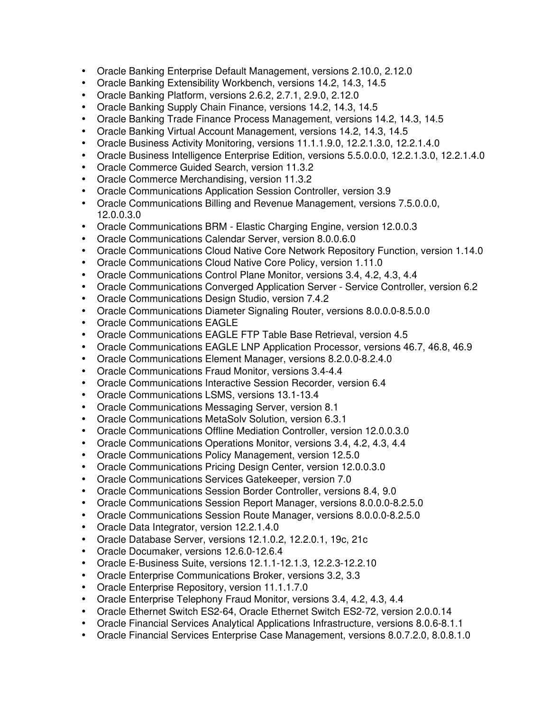- Oracle Banking Enterprise Default Management, versions 2.10.0, 2.12.0
- Oracle Banking Extensibility Workbench, versions 14.2, 14.3, 14.5
- Oracle Banking Platform, versions 2.6.2, 2.7.1, 2.9.0, 2.12.0
- Oracle Banking Supply Chain Finance, versions 14.2, 14.3, 14.5
- Oracle Banking Trade Finance Process Management, versions 14.2, 14.3, 14.5
- Oracle Banking Virtual Account Management, versions 14.2, 14.3, 14.5
- Oracle Business Activity Monitoring, versions 11.1.1.9.0, 12.2.1.3.0, 12.2.1.4.0
- Oracle Business Intelligence Enterprise Edition, versions 5.5.0.0.0, 12.2.1.3.0, 12.2.1.4.0
- Oracle Commerce Guided Search, version 11.3.2
- Oracle Commerce Merchandising, version 11.3.2
- Oracle Communications Application Session Controller, version 3.9
- Oracle Communications Billing and Revenue Management, versions 7.5.0.0.0, 12.0.0.3.0
- Oracle Communications BRM Elastic Charging Engine, version 12.0.0.3
- Oracle Communications Calendar Server, version 8.0.0.6.0
- Oracle Communications Cloud Native Core Network Repository Function, version 1.14.0
- Oracle Communications Cloud Native Core Policy, version 1.11.0
- Oracle Communications Control Plane Monitor, versions 3.4, 4.2, 4.3, 4.4
- Oracle Communications Converged Application Server Service Controller, version 6.2
- Oracle Communications Design Studio, version 7.4.2
- Oracle Communications Diameter Signaling Router, versions 8.0.0.0-8.5.0.0
- Oracle Communications EAGLE
- Oracle Communications EAGLE FTP Table Base Retrieval, version 4.5
- Oracle Communications EAGLE LNP Application Processor, versions 46.7, 46.8, 46.9
- Oracle Communications Element Manager, versions 8.2.0.0-8.2.4.0
- Oracle Communications Fraud Monitor, versions 3.4-4.4
- Oracle Communications Interactive Session Recorder, version 6.4
- Oracle Communications LSMS, versions 13.1-13.4
- Oracle Communications Messaging Server, version 8.1
- Oracle Communications MetaSolv Solution, version 6.3.1
- Oracle Communications Offline Mediation Controller, version 12.0.0.3.0
- Oracle Communications Operations Monitor, versions 3.4, 4.2, 4.3, 4.4
- Oracle Communications Policy Management, version 12.5.0
- Oracle Communications Pricing Design Center, version 12.0.0.3.0
- Oracle Communications Services Gatekeeper, version 7.0
- Oracle Communications Session Border Controller, versions 8.4, 9.0
- Oracle Communications Session Report Manager, versions 8.0.0.0-8.2.5.0
- Oracle Communications Session Route Manager, versions 8.0.0.0-8.2.5.0
- Oracle Data Integrator, version 12.2.1.4.0
- Oracle Database Server, versions 12.1.0.2, 12.2.0.1, 19c, 21c
- Oracle Documaker, versions 12.6.0-12.6.4
- Oracle E-Business Suite, versions 12.1.1-12.1.3, 12.2.3-12.2.10
- Oracle Enterprise Communications Broker, versions 3.2, 3.3
- Oracle Enterprise Repository, version 11.1.1.7.0
- Oracle Enterprise Telephony Fraud Monitor, versions 3.4, 4.2, 4.3, 4.4
- Oracle Ethernet Switch ES2-64, Oracle Ethernet Switch ES2-72, version 2.0.0.14
- Oracle Financial Services Analytical Applications Infrastructure, versions 8.0.6-8.1.1
- Oracle Financial Services Enterprise Case Management, versions 8.0.7.2.0, 8.0.8.1.0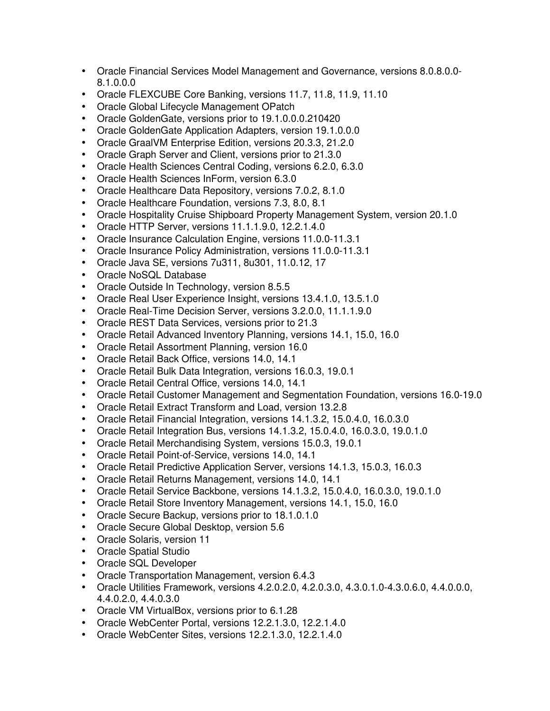- Oracle Financial Services Model Management and Governance, versions 8.0.8.0.0- 8.1.0.0.0
- Oracle FLEXCUBE Core Banking, versions 11.7, 11.8, 11.9, 11.10
- Oracle Global Lifecycle Management OPatch
- Oracle GoldenGate, versions prior to 19.1.0.0.0.210420
- Oracle GoldenGate Application Adapters, version 19.1.0.0.0
- Oracle GraalVM Enterprise Edition, versions 20.3.3, 21.2.0
- Oracle Graph Server and Client, versions prior to 21.3.0
- Oracle Health Sciences Central Coding, versions 6.2.0, 6.3.0
- Oracle Health Sciences InForm, version 6.3.0
- Oracle Healthcare Data Repository, versions 7.0.2, 8.1.0
- Oracle Healthcare Foundation, versions 7.3, 8.0, 8.1
- Oracle Hospitality Cruise Shipboard Property Management System, version 20.1.0
- Oracle HTTP Server, versions 11.1.1.9.0, 12.2.1.4.0
- Oracle Insurance Calculation Engine, versions 11.0.0-11.3.1
- Oracle Insurance Policy Administration, versions 11.0.0-11.3.1
- Oracle Java SE, versions 7u311, 8u301, 11.0.12, 17
- Oracle NoSQL Database
- Oracle Outside In Technology, version 8.5.5
- Oracle Real User Experience Insight, versions 13.4.1.0, 13.5.1.0
- Oracle Real-Time Decision Server, versions 3.2.0.0, 11.1.1.9.0
- Oracle REST Data Services, versions prior to 21.3
- Oracle Retail Advanced Inventory Planning, versions 14.1, 15.0, 16.0
- Oracle Retail Assortment Planning, version 16.0
- Oracle Retail Back Office, versions 14.0, 14.1
- Oracle Retail Bulk Data Integration, versions 16.0.3, 19.0.1
- Oracle Retail Central Office, versions 14.0, 14.1
- Oracle Retail Customer Management and Segmentation Foundation, versions 16.0-19.0
- Oracle Retail Extract Transform and Load, version 13.2.8
- Oracle Retail Financial Integration, versions 14.1.3.2, 15.0.4.0, 16.0.3.0
- Oracle Retail Integration Bus, versions 14.1.3.2, 15.0.4.0, 16.0.3.0, 19.0.1.0
- Oracle Retail Merchandising System, versions 15.0.3, 19.0.1
- Oracle Retail Point-of-Service, versions 14.0, 14.1
- Oracle Retail Predictive Application Server, versions 14.1.3, 15.0.3, 16.0.3
- Oracle Retail Returns Management, versions 14.0, 14.1
- Oracle Retail Service Backbone, versions 14.1.3.2, 15.0.4.0, 16.0.3.0, 19.0.1.0
- Oracle Retail Store Inventory Management, versions 14.1, 15.0, 16.0
- Oracle Secure Backup, versions prior to 18.1.0.1.0
- Oracle Secure Global Desktop, version 5.6
- Oracle Solaris, version 11
- Oracle Spatial Studio
- Oracle SQL Developer
- Oracle Transportation Management, version 6.4.3
- Oracle Utilities Framework, versions 4.2.0.2.0, 4.2.0.3.0, 4.3.0.1.0-4.3.0.6.0, 4.4.0.0.0, 4.4.0.2.0, 4.4.0.3.0
- Oracle VM VirtualBox, versions prior to 6.1.28
- Oracle WebCenter Portal, versions 12.2.1.3.0, 12.2.1.4.0
- Oracle WebCenter Sites, versions 12.2.1.3.0, 12.2.1.4.0